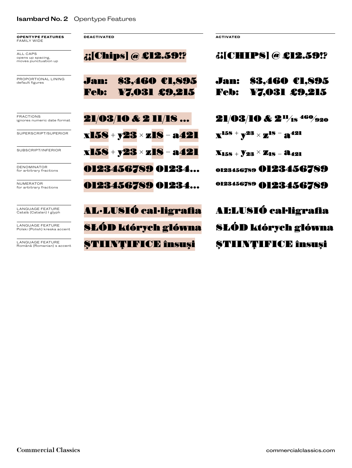## **Isambard No. 2** Opentype Features

**OPENTYPE FEATURES** FAMILY WIDE

ALL CAPS opens up spacing,<br>moves punctuation up

| <b>FRACTIONS</b> |                             |  |
|------------------|-----------------------------|--|
|                  | ignores numeric date format |  |

| PROPORTIONAL LINING<br>default figures                | Jan:<br><b>Feb:</b> | \$3.460 CL,895<br>¥7,031 £9,215 | Jan:<br><b>Feb:</b> | \$3.460 CL,895<br>¥7,031 £9,215                                                  |
|-------------------------------------------------------|---------------------|---------------------------------|---------------------|----------------------------------------------------------------------------------|
| <b>FRACTIONS</b><br>ignores numeric date format       |                     | 21/03/10 & 2 11/18              |                     | <b>21/03/10 &amp; 2<sup>11</sup>/1s<sup>460</sup>/920</b>                        |
| SUPERSCRIPT/SUPERIOR                                  |                     | $x158 + y23 \times z18 - a421$  |                     | $\mathbf{X}^{158}$ + \mathbf{Y}^{23} \times \mathbf{Z}^{18} – $\mathbf{a}^{421}$ |
| SUBSCRIPT/INFERIOR                                    |                     | x158 + y23 × z18 - a421         |                     | $X_{158} + Y_{23} \times Z_{18} - X_{421}$                                       |
| <b>DENOMINATOR</b><br>for arbitrary fractions         |                     | 0123456789 01234                |                     | 0123456789 0123456789                                                            |
| <b>NUMERATOR</b><br>for arbitrary fractions           |                     | 0123456789 01234                |                     | 0123456789 0123456789                                                            |
| <b>LANGUAGE FEATURE</b><br>Català (Catalan) I glyph   |                     | <b>AL·LUSIÓ cal·ligrafia</b>    |                     | <b>ALLUSIÓ cal·ligrafia</b>                                                      |
| LANGUAGE FEATURE<br>Polski (Polish) kreska accent     |                     | <b>SLÓD których główna</b>      |                     | <b>SLÓD których główna</b>                                                       |
| <b>LANGUAGE FEATURE</b><br>Română (Romanian) s accent |                     | <b>STIINTIFICE însuși</b>       |                     | <b>STIINTIFICE însuși</b>                                                        |

**DEACTIVATED ACTIVATED**

*<u>;;[Chips] @ £12.59!?</u>*  $\qquad$   $i$ [CHIPS] @ £12.59!?

| Jan:        | \$3,460 CL,895 |
|-------------|----------------|
| <b>Feb:</b> | ¥7,031 £9,215  |

| AL:LUSIÓ cal·ligrafia     |
|---------------------------|
| SŁÓD których główna       |
| <b>ȘTIINȚIFICE însuși</b> |